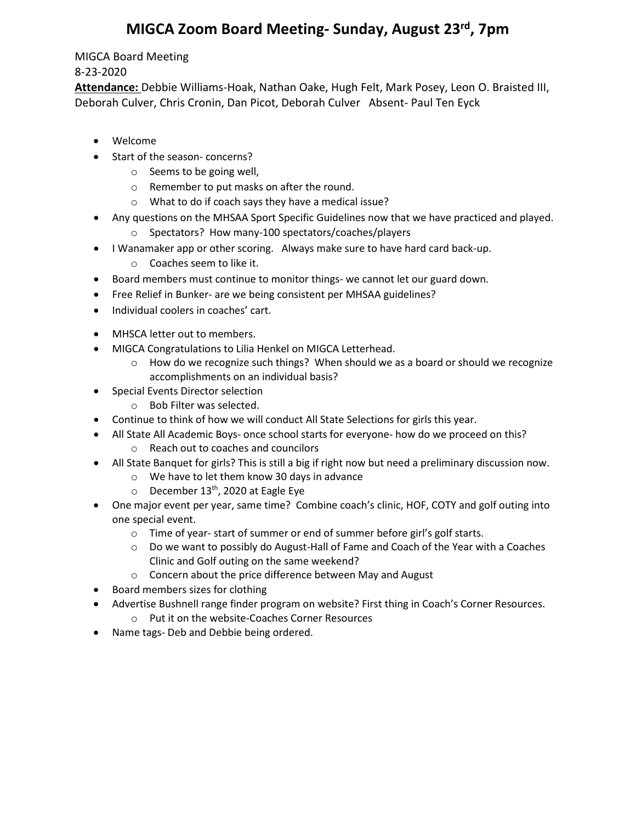## **MIGCA Zoom Board Meeting- Sunday, August 23rd, 7pm**

## MIGCA Board Meeting

## 8-23-2020

**Attendance:** Debbie Williams-Hoak, Nathan Oake, Hugh Felt, Mark Posey, Leon O. Braisted III, Deborah Culver, Chris Cronin, Dan Picot, Deborah Culver Absent- Paul Ten Eyck

- Welcome
- Start of the season- concerns?
	- o Seems to be going well,
	- o Remember to put masks on after the round.
	- o What to do if coach says they have a medical issue?
- Any questions on the MHSAA Sport Specific Guidelines now that we have practiced and played.
	- o Spectators? How many-100 spectators/coaches/players
- I Wanamaker app or other scoring. Always make sure to have hard card back-up.
	- o Coaches seem to like it.
- Board members must continue to monitor things- we cannot let our guard down.
- Free Relief in Bunker- are we being consistent per MHSAA guidelines?
- Individual coolers in coaches' cart.
- MHSCA letter out to members.
- MIGCA Congratulations to Lilia Henkel on MIGCA Letterhead.
	- $\circ$  How do we recognize such things? When should we as a board or should we recognize accomplishments on an individual basis?
- Special Events Director selection
	- o Bob Filter was selected.
- Continue to think of how we will conduct All State Selections for girls this year.
- All State All Academic Boys- once school starts for everyone- how do we proceed on this?
	- o Reach out to coaches and councilors
- All State Banquet for girls? This is still a big if right now but need a preliminary discussion now.
	- o We have to let them know 30 days in advance
	- $\circ$  December 13<sup>th</sup>, 2020 at Eagle Eye
- One major event per year, same time? Combine coach's clinic, HOF, COTY and golf outing into one special event.
	- o Time of year- start of summer or end of summer before girl's golf starts.
	- o Do we want to possibly do August-Hall of Fame and Coach of the Year with a Coaches Clinic and Golf outing on the same weekend?
	- o Concern about the price difference between May and August
- Board members sizes for clothing
- Advertise Bushnell range finder program on website? First thing in Coach's Corner Resources.
	- o Put it on the website-Coaches Corner Resources
- Name tags- Deb and Debbie being ordered.